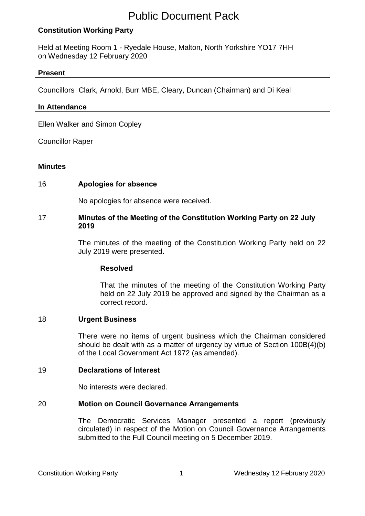# **Constitution Working Party**

Held at Meeting Room 1 - Ryedale House, Malton, North Yorkshire YO17 7HH on Wednesday 12 February 2020

### **Present**

Councillors Clark, Arnold, Burr MBE, Cleary, Duncan (Chairman) and Di Keal

### **In Attendance**

Ellen Walker and Simon Copley

Councillor Raper

#### **Minutes**

### 16 **Apologies for absence**

No apologies for absence were received.

### 17 **Minutes of the Meeting of the Constitution Working Party on 22 July 2019**

The minutes of the meeting of the Constitution Working Party held on 22 July 2019 were presented.

### **Resolved**

That the minutes of the meeting of the Constitution Working Party held on 22 July 2019 be approved and signed by the Chairman as a correct record.

### 18 **Urgent Business**

There were no items of urgent business which the Chairman considered should be dealt with as a matter of urgency by virtue of Section 100B(4)(b) of the Local Government Act 1972 (as amended).

### 19 **Declarations of Interest**

No interests were declared.

### 20 **Motion on Council Governance Arrangements**

The Democratic Services Manager presented a report (previously circulated) in respect of the Motion on Council Governance Arrangements submitted to the Full Council meeting on 5 December 2019.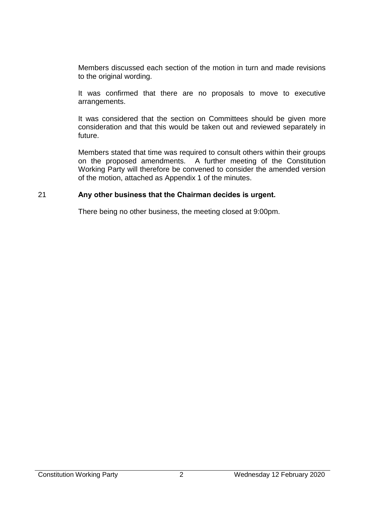Members discussed each section of the motion in turn and made revisions to the original wording.

It was confirmed that there are no proposals to move to executive arrangements.

It was considered that the section on Committees should be given more consideration and that this would be taken out and reviewed separately in future.

Members stated that time was required to consult others within their groups on the proposed amendments. A further meeting of the Constitution Working Party will therefore be convened to consider the amended version of the motion, attached as Appendix 1 of the minutes.

## 21 **Any other business that the Chairman decides is urgent.**

There being no other business, the meeting closed at 9:00pm.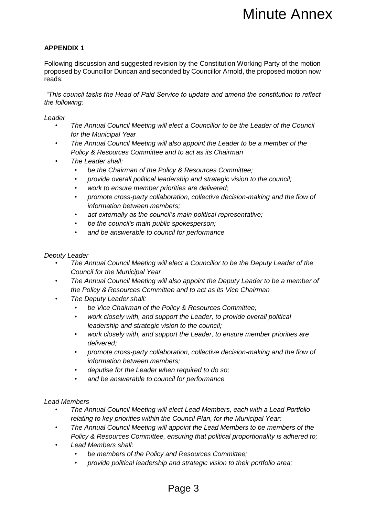## **APPENDIX 1**

Following discussion and suggested revision by the Constitution Working Party of the motion proposed by Councillor Duncan and seconded by Councillor Arnold, the proposed motion now reads: **Minute Annex**<br>
Minute Annex<br>
ion by the Constitution Working Party of the motion<br>
vice to update and amend the constitution to reflect<br>
elect a Councillor Amold, the proposed motion now<br>
vice to update and amend the const

*"This council tasks the Head of Paid Service to update and amend the constitution to reflect the following:*

*Leader*

- *The Annual Council Meeting will elect a Councillor to be the Leader of the Council for the Municipal Year*
- *The Annual Council Meeting will also appoint the Leader to be a member of the Policy & Resources Committee and to act as its Chairman*
- *The Leader shall:*
	- *be the Chairman of the Policy & Resources Committee;*
	- *provide overall political leadership and strategic vision to the council;*
	- *work to ensure member priorities are delivered;*
	- *promote cross-party collaboration, collective decision-making and the flow of information between members;*
	- *act externally as the council's main political representative;*
	- *be the council's main public spokesperson;*
	- *and be answerable to council for performance*

#### *Deputy Leader*

- *The Annual Council Meeting will elect a Councillor to be the Deputy Leader of the Council for the Municipal Year*
- *The Annual Council Meeting will also appoint the Deputy Leader to be a member of the Policy & Resources Committee and to act as its Vice Chairman*
- *The Deputy Leader shall:*
	- *be Vice Chairman of the Policy & Resources Committee;*
	- *work closely with, and support the Leader, to provide overall political leadership and strategic vision to the council;*
	- *work closely with, and support the Leader, to ensure member priorities are delivered;*
	- *promote cross-party collaboration, collective decision-making and the flow of information between members;*
	- *deputise for the Leader when required to do so;*
	- *and be answerable to council for performance*

#### *Lead Members*

- *The Annual Council Meeting will elect Lead Members, each with a Lead Portfolio relating to key priorities within the Council Plan, for the Municipal Year;*
- *The Annual Council Meeting will appoint the Lead Members to be members of the Policy & Resources Committee, ensuring that political proportionality is adhered to;*
- *Lead Members shall:*
	- *be members of the Policy and Resources Committee;*
	- *provide political leadership and strategic vision to their portfolio area;*